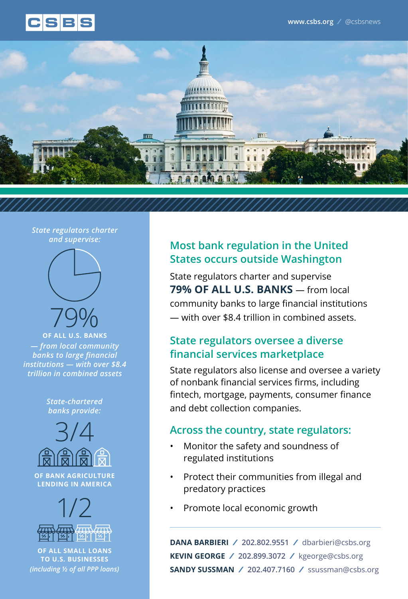



#### *State regulators charter and supervise:*



### **OF ALL U.S. BANKS**  *— from local community banks to large financial institutions — with over \$8.4 trillion in combined assets*

*State-chartered banks provide:*



**OF BANK AGRICULTURE LENDING IN AMERICA**



**OF ALL SMALL LOANS TO U.S. BUSINESSES** *(including ½ of all PPP loans)*

# **Most bank regulation in the United States occurs outside Washington**

State regulators charter and supervise **79% OF ALL U.S. BANKS** — from local community banks to large financial institutions — with over \$8.4 trillion in combined assets.

# **State regulators oversee a diverse financial services marketplace**

State regulators also license and oversee a variety of nonbank financial services firms, including fintech, mortgage, payments, consumer finance and debt collection companies.

# **Across the country, state regulators:**

- Monitor the safety and soundness of regulated institutions
- Protect their communities from illegal and predatory practices
- Promote local economic growth

**DANA BARBIERI / 202.802.9551 /** dbarbieri@csbs.org **KEVIN GEORGE / 202.899.3072 /** kgeorge@csbs.org **SANDY SUSSMAN / 202.407.7160 /** ssussman@csbs.org